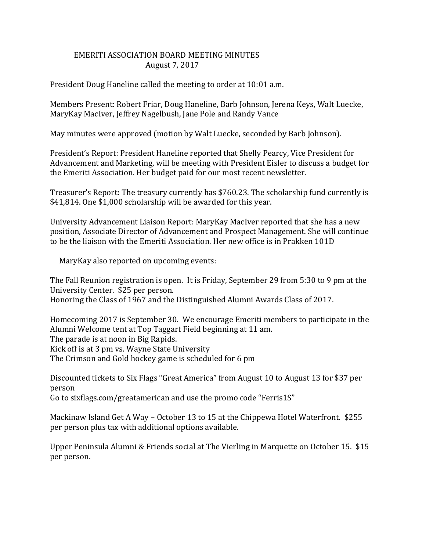## EMERITI ASSOCIATION BOARD MEETING MINUTES August 7, 2017

President Doug Haneline called the meeting to order at 10:01 a.m.

Members Present: Robert Friar, Doug Haneline, Barb Johnson, Jerena Keys, Walt Luecke, MaryKay MacIver, Jeffrey Nagelbush, Jane Pole and Randy Vance

May minutes were approved (motion by Walt Luecke, seconded by Barb Johnson).

President's Report: President Haneline reported that Shelly Pearcy, Vice President for Advancement and Marketing, will be meeting with President Eisler to discuss a budget for the Emeriti Association. Her budget paid for our most recent newsletter.

Treasurer's Report: The treasury currently has \$760.23. The scholarship fund currently is \$41,814. One \$1,000 scholarship will be awarded for this year.

University Advancement Liaison Report: MaryKay MacIver reported that she has a new position, Associate Director of Advancement and Prospect Management. She will continue to be the liaison with the Emeriti Association. Her new office is in Prakken 101D

MaryKay also reported on upcoming events:

The Fall Reunion registration is open. It is Friday, September 29 from 5:30 to 9 pm at the University Center. \$25 per person. Honoring the Class of 1967 and the Distinguished Alumni Awards Class of 2017.

Homecoming 2017 is September 30. We encourage Emeriti members to participate in the Alumni Welcome tent at Top Taggart Field beginning at 11 am. The parade is at noon in Big Rapids. Kick off is at 3 pm vs. Wayne State University The Crimson and Gold hockey game is scheduled for 6 pm

Discounted tickets to Six Flags "Great America" from August 10 to August 13 for \$37 per person

Go to sixflags.com/greatamerican and use the promo code "Ferris1S"

Mackinaw Island Get A Way – October 13 to 15 at the Chippewa Hotel Waterfront. \$255 per person plus tax with additional options available.

Upper Peninsula Alumni & Friends social at The Vierling in Marquette on October 15. \$15 per person.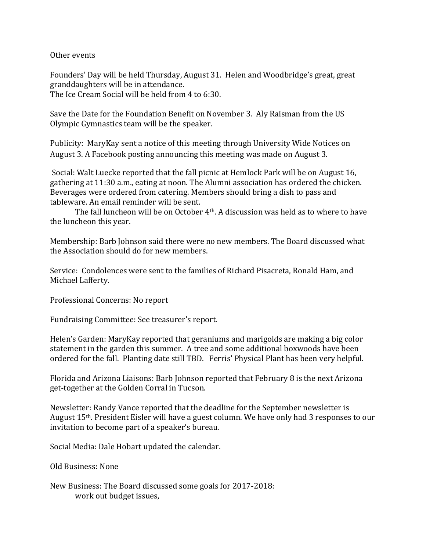Other events

Founders' Day will be held Thursday, August 31. Helen and Woodbridge's great, great granddaughters will be in attendance.

The Ice Cream Social will be held from 4 to 6:30.

Save the Date for the Foundation Benefit on November 3. Aly Raisman from the US Olympic Gymnastics team will be the speaker.

Publicity: MaryKay sent a notice of this meeting through University Wide Notices on August 3. A Facebook posting announcing this meeting was made on August 3.

Social: Walt Luecke reported that the fall picnic at Hemlock Park will be on August 16, gathering at 11:30 a.m., eating at noon. The Alumni association has ordered the chicken. Beverages were ordered from catering. Members should bring a dish to pass and tableware. An email reminder will be sent.

The fall luncheon will be on October 4th. A discussion was held as to where to have the luncheon this year.

Membership: Barb Johnson said there were no new members. The Board discussed what the Association should do for new members.

Service: Condolences were sent to the families of Richard Pisacreta, Ronald Ham, and Michael Lafferty.

Professional Concerns: No report

Fundraising Committee: See treasurer's report.

Helen's Garden: MaryKay reported that geraniums and marigolds are making a big color statement in the garden this summer. A tree and some additional boxwoods have been ordered for the fall. Planting date still TBD. Ferris' Physical Plant has been very helpful.

Florida and Arizona Liaisons: Barb Johnson reported that February 8 is the next Arizona get-together at the Golden Corral in Tucson.

Newsletter: Randy Vance reported that the deadline for the September newsletter is August 15th. President Eisler will have a guest column. We have only had 3 responses to our invitation to become part of a speaker's bureau.

Social Media: Dale Hobart updated the calendar.

Old Business: None

New Business: The Board discussed some goals for 2017-2018: work out budget issues,